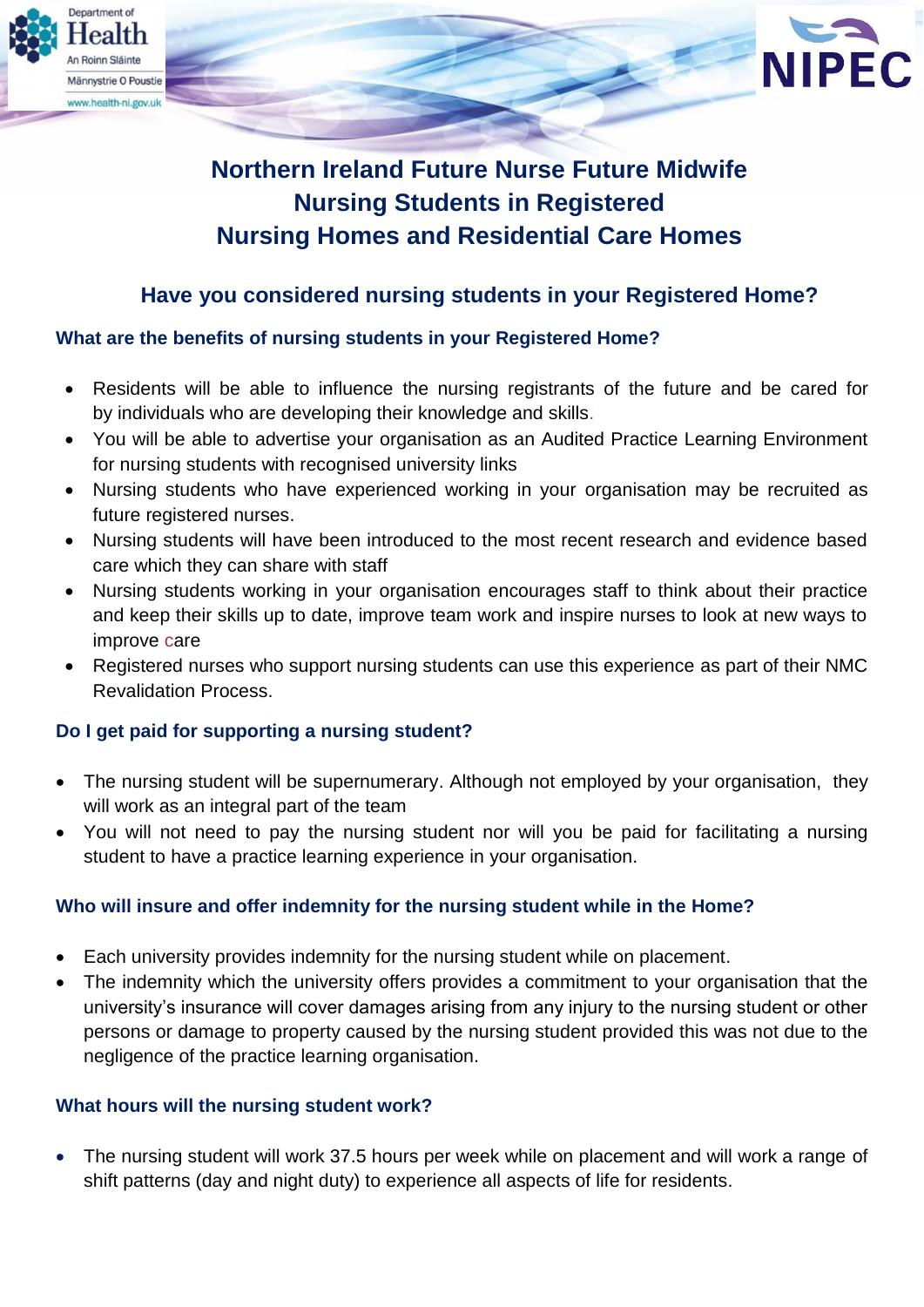

# **Northern Ireland Future Nurse Future Midwife Nursing Students in Registered Nursing Homes and Residential Care Homes**

# **Have you considered nursing students in your Registered Home?**

# **What are the benefits of nursing students in your Registered Home?**

- Residents will be able to influence the nursing registrants of the future and be cared for by individuals who are developing their knowledge and skills.
- You will be able to advertise your organisation as an Audited Practice Learning Environment for nursing students with recognised university links
- Nursing students who have experienced working in your organisation may be recruited as future registered nurses.
- Nursing students will have been introduced to the most recent research and evidence based care which they can share with staff
- Nursing students working in your organisation encourages staff to think about their practice and keep their skills up to date, improve team work and inspire nurses to look at new ways to improve care
- Registered nurses who support nursing students can use this experience as part of their NMC Revalidation Process.

# **Do I get paid for supporting a nursing student?**

- The nursing student will be supernumerary. Although not employed by your organisation, they will work as an integral part of the team
- You will not need to pay the nursing student nor will you be paid for facilitating a nursing student to have a practice learning experience in your organisation.

# **Who will insure and offer indemnity for the nursing student while in the Home?**

- Each university provides indemnity for the nursing student while on placement.
- The indemnity which the university offers provides a commitment to your organisation that the university's insurance will cover damages arising from any injury to the nursing student or other persons or damage to property caused by the nursing student provided this was not due to the negligence of the practice learning organisation.

# **What hours will the nursing student work?**

 The nursing student will work 37.5 hours per week while on placement and will work a range of shift patterns (day and night duty) to experience all aspects of life for residents.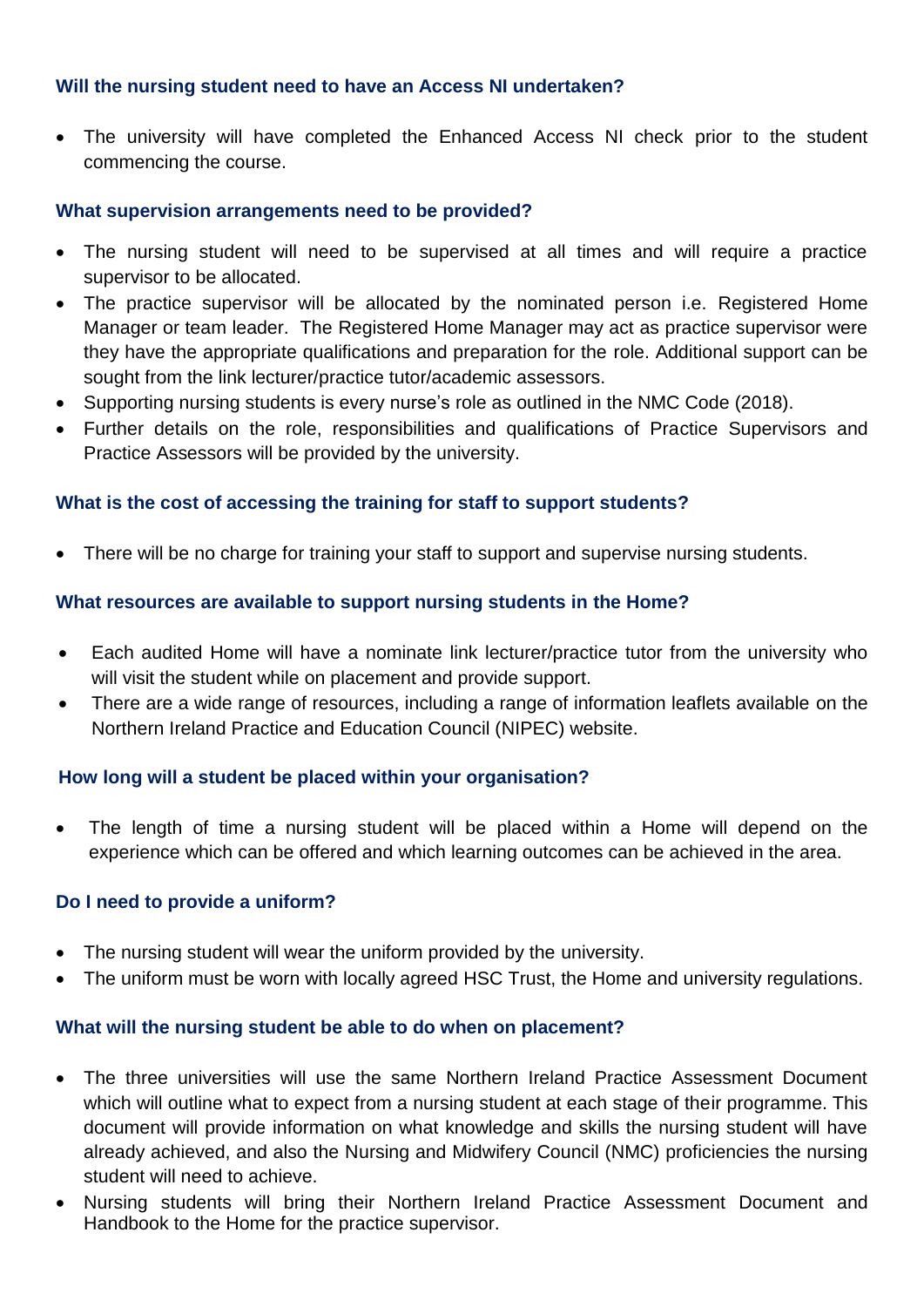### **Will the nursing student need to have an Access NI undertaken?**

• The university will have completed the Enhanced Access NI check prior to the student commencing the course.

#### **What supervision arrangements need to be provided?**

- The nursing student will need to be supervised at all times and will require a practice supervisor to be allocated.
- The practice supervisor will be allocated by the nominated person i.e. Registered Home Manager or team leader. The Registered Home Manager may act as practice supervisor were they have the appropriate qualifications and preparation for the role. Additional support can be sought from the link lecturer/practice tutor/academic assessors.
- Supporting nursing students is every nurse's role as outlined in the NMC Code (2018).
- Further details on the role, responsibilities and qualifications of Practice Supervisors and Practice Assessors will be provided by the university.

# **What is the cost of accessing the training for staff to support students?**

There will be no charge for training your staff to support and supervise nursing students.

#### **What resources are available to support nursing students in the Home?**

- Each audited Home will have a nominate link lecturer/practice tutor from the university who will visit the student while on placement and provide support.
- There are a wide range of resources, including a range of information leaflets available on the Northern Ireland Practice and Education Council (NIPEC) website.

#### **How long will a student be placed within your organisation?**

 The length of time a nursing student will be placed within a Home will depend on the experience which can be offered and which learning outcomes can be achieved in the area.

#### **Do I need to provide a uniform?**

- The nursing student will wear the uniform provided by the university.
- The uniform must be worn with locally agreed HSC Trust, the Home and university regulations.

#### **What will the nursing student be able to do when on placement?**

- The three universities will use the same Northern Ireland Practice Assessment Document which will outline what to expect from a nursing student at each stage of their programme. This document will provide information on what knowledge and skills the nursing student will have already achieved, and also the Nursing and Midwifery Council (NMC) proficiencies the nursing student will need to achieve.
- Nursing students will bring their Northern Ireland Practice Assessment Document and Handbook to the Home for the practice supervisor.